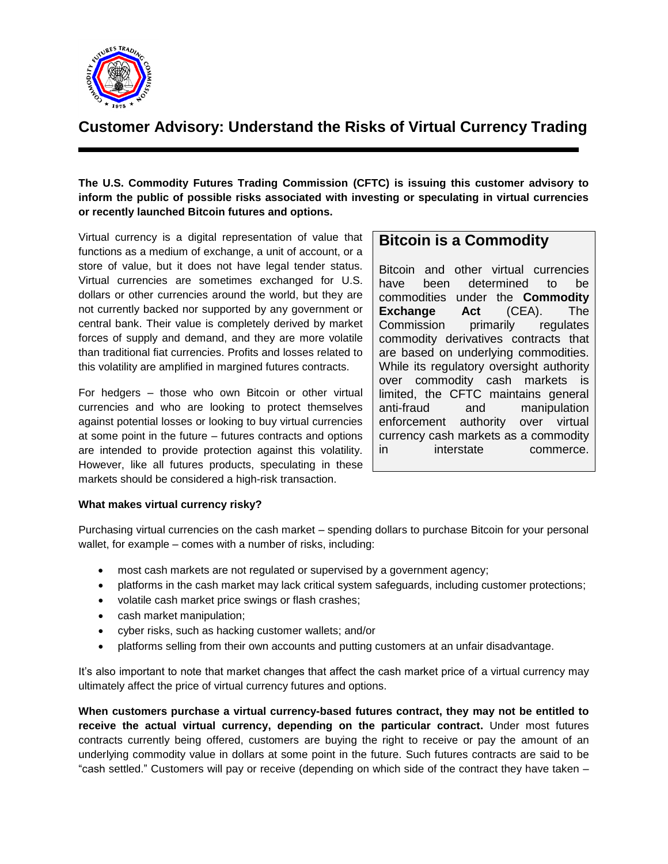

# **Customer Advisory: Understand the Risks of Virtual Currency Trading**

### **The U.S. Commodity Futures Trading Commission (CFTC) is issuing this customer advisory to inform the public of possible risks associated with investing or speculating in virtual currencies or recently launched Bitcoin futures and options.**

Virtual currency is a digital representation of value that functions as a medium of exchange, a unit of account, or a store of value, but it does not have legal tender status. Virtual currencies are sometimes exchanged for U.S. dollars or other currencies around the world, but they are not currently backed nor supported by any government or central bank. Their value is completely derived by market forces of supply and demand, and they are more volatile than traditional fiat currencies. Profits and losses related to this volatility are amplified in margined futures contracts.

For hedgers – those who own Bitcoin or other virtual currencies and who are looking to protect themselves against potential losses or looking to buy virtual currencies at some point in the future – futures contracts and options are intended to provide protection against this volatility. However, like all futures products, speculating in these markets should be considered a high-risk transaction.

## **Bitcoin is a Commodity**

Bitcoin and other virtual currencies have been determined to be commodities under the **Commodity Exchange Act** (CEA). The Commission primarily regulates commodity derivatives contracts that are based on underlying commodities. While its regulatory oversight authority over commodity cash markets is limited, the CFTC maintains general anti-fraud and manipulation enforcement authority over virtual currency cash markets as a commodity in interstate commerce.

### **What makes virtual currency risky?**

Purchasing virtual currencies on the cash market – spending dollars to purchase Bitcoin for your personal wallet, for example – comes with a number of risks, including:

- most cash markets are not regulated or supervised by a government agency;
- platforms in the cash market may lack critical system safeguards, including customer protections;
- volatile cash market price swings or flash crashes;
- cash market manipulation;
- cyber risks, such as hacking customer wallets; and/or
- platforms selling from their own accounts and putting customers at an unfair disadvantage.

It's also important to note that market changes that affect the cash market price of a virtual currency may ultimately affect the price of virtual currency futures and options.

**When customers purchase a virtual currency-based futures contract, they may not be entitled to receive the actual virtual currency, depending on the particular contract.** Under most futures contracts currently being offered, customers are buying the right to receive or pay the amount of an underlying commodity value in dollars at some point in the future. Such futures contracts are said to be "cash settled." Customers will pay or receive (depending on which side of the contract they have taken –